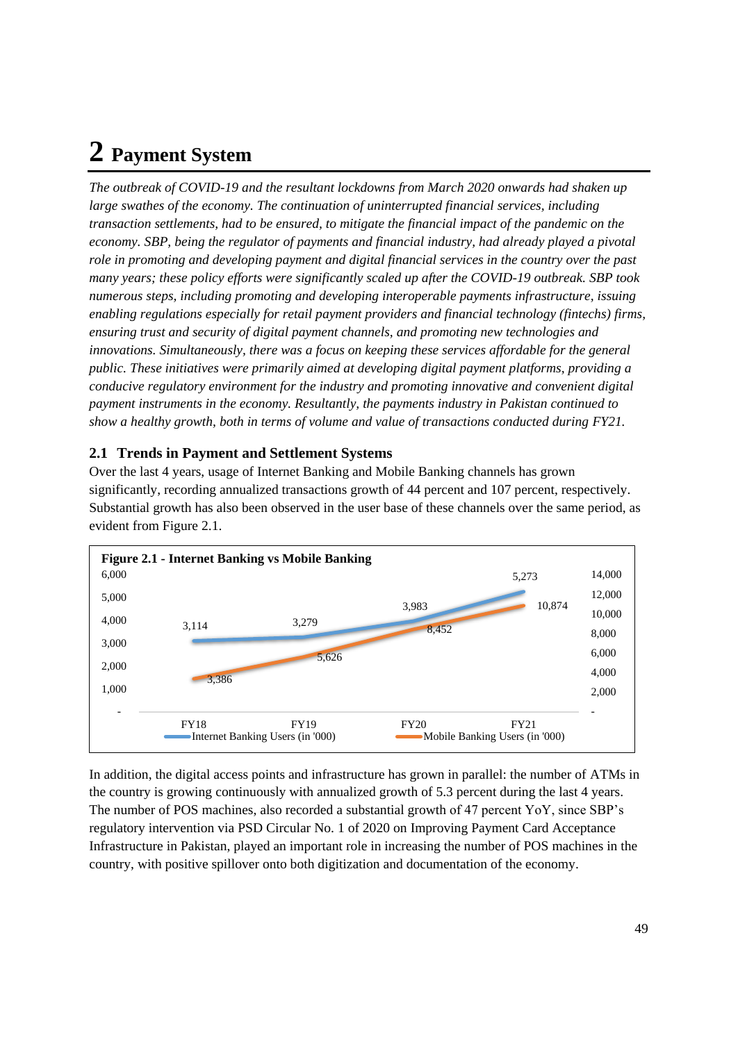# **2 Payment System**

*The outbreak of COVID-19 and the resultant lockdowns from March 2020 onwards had shaken up large swathes of the economy. The continuation of uninterrupted financial services, including transaction settlements, had to be ensured, to mitigate the financial impact of the pandemic on the economy. SBP, being the regulator of payments and financial industry, had already played a pivotal role in promoting and developing payment and digital financial services in the country over the past many years; these policy efforts were significantly scaled up after the COVID-19 outbreak. SBP took numerous steps, including promoting and developing interoperable payments infrastructure, issuing enabling regulations especially for retail payment providers and financial technology (fintechs) firms, ensuring trust and security of digital payment channels, and promoting new technologies and innovations. Simultaneously, there was a focus on keeping these services affordable for the general public. These initiatives were primarily aimed at developing digital payment platforms, providing a conducive regulatory environment for the industry and promoting innovative and convenient digital payment instruments in the economy. Resultantly, the payments industry in Pakistan continued to show a healthy growth, both in terms of volume and value of transactions conducted during FY21.* 

# **2.1 Trends in Payment and Settlement Systems**

Over the last 4 years, usage of Internet Banking and Mobile Banking channels has grown significantly, recording annualized transactions growth of 44 percent and 107 percent, respectively. Substantial growth has also been observed in the user base of these channels over the same period, as evident from Figure 2.1.



In addition, the digital access points and infrastructure has grown in parallel: the number of ATMs in the country is growing continuously with annualized growth of 5.3 percent during the last 4 years. The number of POS machines, also recorded a substantial growth of 47 percent YoY, since SBP's regulatory intervention via PSD Circular No. 1 of 2020 on [Improving Payment Card Acceptance](http://www.sbp.org.pk/psd/2020/C1.htm)  [Infrastructure in Pakistan,](http://www.sbp.org.pk/psd/2020/C1.htm) played an important role in increasing the number of POS machines in the country, with positive spillover onto both digitization and documentation of the economy.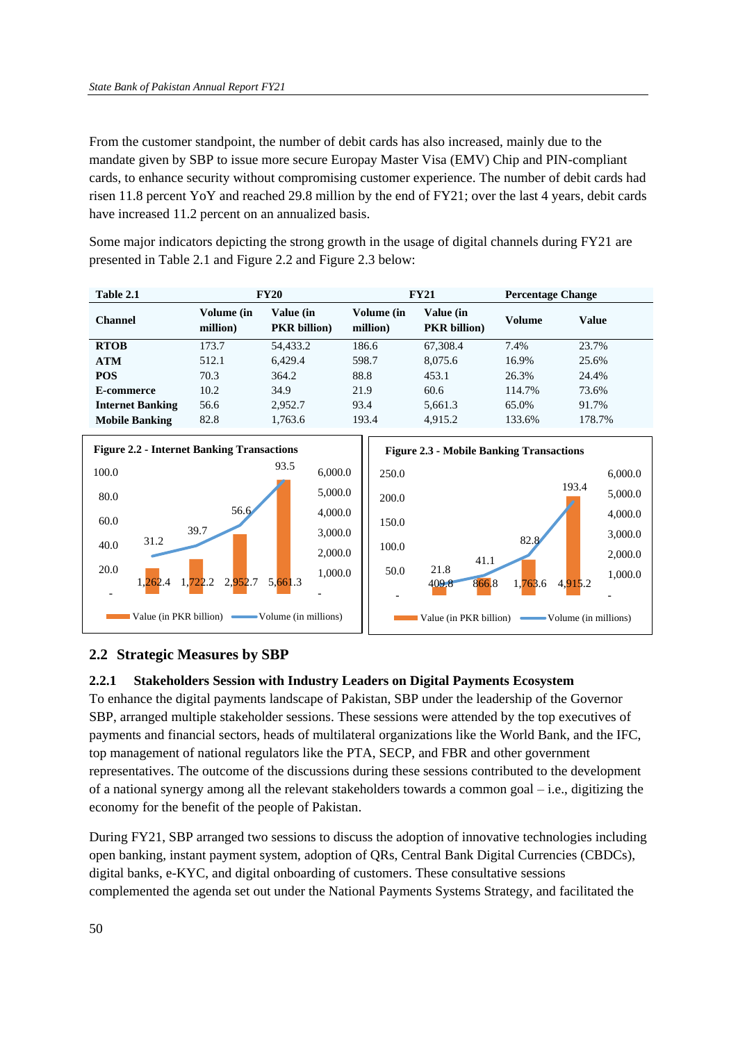From the customer standpoint, the number of debit cards has also increased, mainly due to the mandate given by SBP to issue more secure Europay Master Visa (EMV) Chip and PIN-compliant cards, to enhance security without compromising customer experience. The number of debit cards had risen 11.8 percent YoY and reached 29.8 million by the end of FY21; over the last 4 years, debit cards have increased 11.2 percent on an annualized basis.

Some major indicators depicting the strong growth in the usage of digital channels during FY21 are presented in Table 2.1 and Figure 2.2 and Figure 2.3 below:

| Table 2.1               | <b>FY20</b>            |                                         | <b>FY21</b>            |                                  | <b>Percentage Change</b> |              |
|-------------------------|------------------------|-----------------------------------------|------------------------|----------------------------------|--------------------------|--------------|
| <b>Channel</b>          | Volume (in<br>million) | <b>Value (in</b><br><b>PKR</b> billion) | Volume (in<br>million) | Value (in<br><b>PKR</b> billion) | Volume                   | <b>Value</b> |
| <b>RTOB</b>             | 173.7                  | 54.433.2                                | 186.6                  | 67.308.4                         | 7.4%                     | 23.7%        |
| <b>ATM</b>              | 512.1                  | 6.429.4                                 | 598.7                  | 8.075.6                          | 16.9%                    | 25.6%        |
| <b>POS</b>              | 70.3                   | 364.2                                   | 88.8                   | 453.1                            | 26.3%                    | 24.4%        |
| E-commerce              | 10.2                   | 34.9                                    | 21.9                   | 60.6                             | 114.7%                   | 73.6%        |
| <b>Internet Banking</b> | 56.6                   | 2,952.7                                 | 93.4                   | 5,661.3                          | 65.0%                    | 91.7%        |
| <b>Mobile Banking</b>   | 82.8                   | 1,763.6                                 | 193.4                  | 4.915.2                          | 133.6%                   | 178.7%       |





# **2.2 Strategic Measures by SBP**

## **2.2.1 Stakeholders Session with Industry Leaders on Digital Payments Ecosystem**

To enhance the digital payments landscape of Pakistan, SBP under the leadership of the Governor SBP, arranged multiple stakeholder sessions. These sessions were attended by the top executives of payments and financial sectors, heads of multilateral organizations like the World Bank, and the IFC, top management of national regulators like the PTA, SECP, and FBR and other government representatives. The outcome of the discussions during these sessions contributed to the development of a national synergy among all the relevant stakeholders towards a common goal  $-$  i.e., digitizing the economy for the benefit of the people of Pakistan.

During FY21, SBP arranged two sessions to discuss the adoption of innovative technologies including open banking, instant payment system, adoption of QRs, Central Bank Digital Currencies (CBDCs), digital banks, e-KYC, and digital onboarding of customers. These consultative sessions complemented the agenda set out under the National Payments Systems Strategy, and facilitated the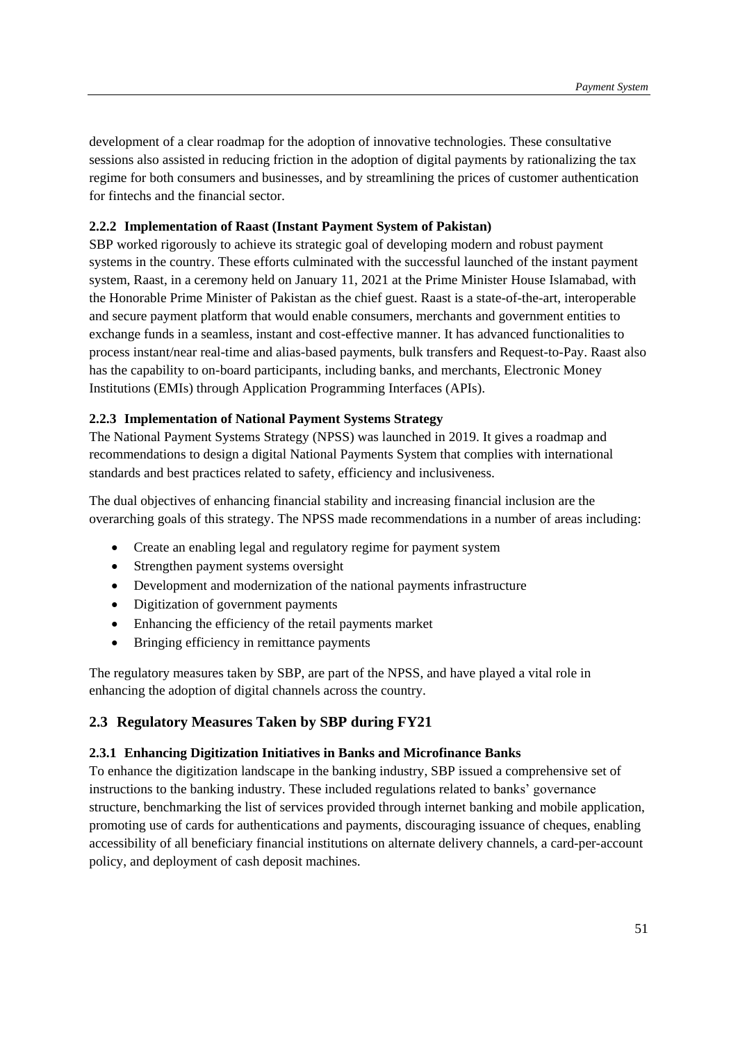development of a clear roadmap for the adoption of innovative technologies. These consultative sessions also assisted in reducing friction in the adoption of digital payments by rationalizing the tax regime for both consumers and businesses, and by streamlining the prices of customer authentication for fintechs and the financial sector.

## **2.2.2 Implementation of Raast (Instant Payment System of Pakistan)**

SBP worked rigorously to achieve its strategic goal of developing modern and robust payment systems in the country. These efforts culminated with the successful launched of the instant payment system, Raast, in a ceremony held on January 11, 2021 at the Prime Minister House Islamabad, with the Honorable Prime Minister of Pakistan as the chief guest. Raast is a state-of-the-art, interoperable and secure payment platform that would enable consumers, merchants and government entities to exchange funds in a seamless, instant and cost-effective manner. It has advanced functionalities to process instant/near real-time and alias-based payments, bulk transfers and Request-to-Pay. Raast also has the capability to on-board participants, including banks, and merchants, Electronic Money Institutions (EMIs) through Application Programming Interfaces (APIs).

## **2.2.3 Implementation of National Payment Systems Strategy**

The National Payment Systems Strategy (NPSS) was launched in 2019. It gives a roadmap and recommendations to design a digital National Payments System that complies with international standards and best practices related to safety, efficiency and inclusiveness.

The dual objectives of enhancing financial stability and increasing financial inclusion are the overarching goals of this strategy. The NPSS made recommendations in a number of areas including:

- Create an enabling legal and regulatory regime for payment system
- Strengthen payment systems oversight
- Development and modernization of the national payments infrastructure
- Digitization of government payments
- Enhancing the efficiency of the retail payments market
- Bringing efficiency in remittance payments

The regulatory measures taken by SBP, are part of the NPSS, and have played a vital role in enhancing the adoption of digital channels across the country.

## **2.3 Regulatory Measures Taken by SBP during FY21**

#### **2.3.1 Enhancing Digitization Initiatives in Banks and Microfinance Banks**

To enhance the digitization landscape in the banking industry, SBP issued a comprehensive set of instructions to the banking industry. These included regulations related to banks' governance structure, benchmarking the list of services provided through internet banking and mobile application, promoting use of cards for authentications and payments, discouraging issuance of cheques, enabling accessibility of all beneficiary financial institutions on alternate delivery channels, a card-per-account policy, and deployment of cash deposit machines.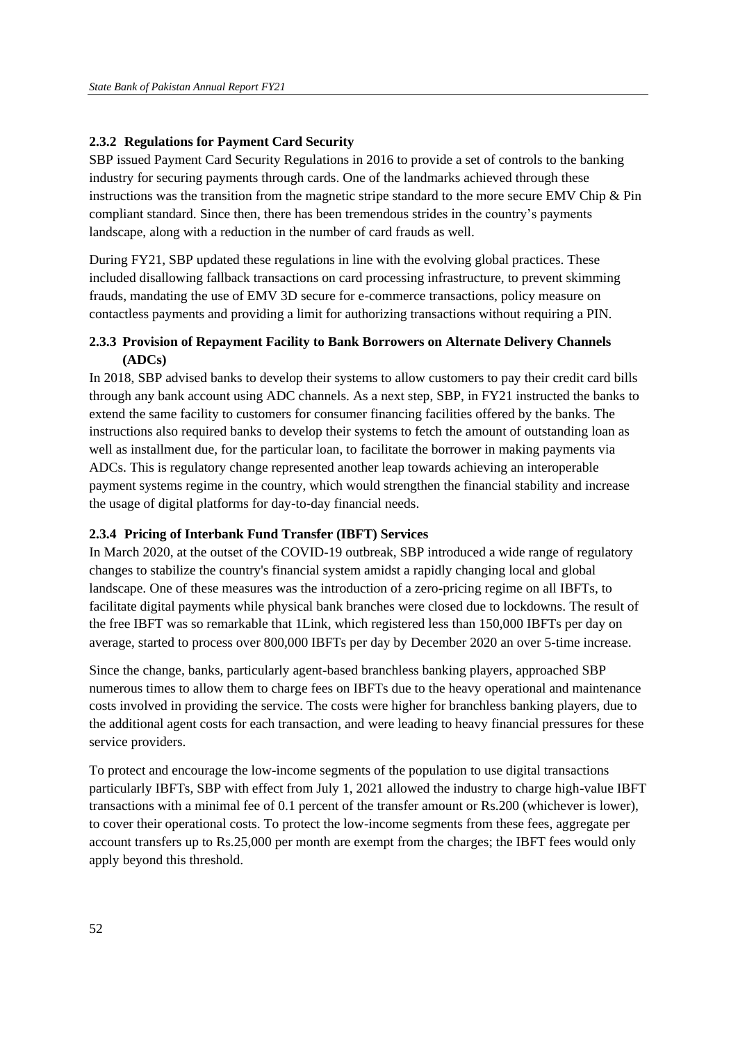## **2.3.2 Regulations for Payment Card Security**

SBP issued Payment Card Security Regulations in 2016 to provide a set of controls to the banking industry for securing payments through cards. One of the landmarks achieved through these instructions was the transition from the magnetic stripe standard to the more secure EMV Chip & Pin compliant standard. Since then, there has been tremendous strides in the country's payments landscape, along with a reduction in the number of card frauds as well.

During FY21, SBP updated these regulations in line with the evolving global practices. These included disallowing fallback transactions on card processing infrastructure, to prevent skimming frauds, mandating the use of EMV 3D secure for e-commerce transactions, policy measure on contactless payments and providing a limit for authorizing transactions without requiring a PIN.

## **2.3.3 Provision of Repayment Facility to Bank Borrowers on Alternate Delivery Channels (ADCs)**

In 2018, SBP advised banks to develop their systems to allow customers to pay their credit card bills through any bank account using ADC channels. As a next step, SBP, in FY21 instructed the banks to extend the same facility to customers for consumer financing facilities offered by the banks. The instructions also required banks to develop their systems to fetch the amount of outstanding loan as well as installment due, for the particular loan, to facilitate the borrower in making payments via ADCs. This is regulatory change represented another leap towards achieving an interoperable payment systems regime in the country, which would strengthen the financial stability and increase the usage of digital platforms for day-to-day financial needs.

#### **2.3.4 Pricing of Interbank Fund Transfer (IBFT) Services**

In March 2020, at the outset of the COVID-19 outbreak, SBP introduced a wide range of regulatory changes to stabilize the country's financial system amidst a rapidly changing local and global landscape. One of these measures was the introduction of a zero-pricing regime on all IBFTs, to facilitate digital payments while physical bank branches were closed due to lockdowns. The result of the free IBFT was so remarkable that 1Link, which registered less than 150,000 IBFTs per day on average, started to process over 800,000 IBFTs per day by December 2020 an over 5-time increase.

Since the change, banks, particularly agent-based branchless banking players, approached SBP numerous times to allow them to charge fees on IBFTs due to the heavy operational and maintenance costs involved in providing the service. The costs were higher for branchless banking players, due to the additional agent costs for each transaction, and were leading to heavy financial pressures for these service providers.

To protect and encourage the low-income segments of the population to use digital transactions particularly IBFTs, SBP with effect from July 1, 2021 allowed the industry to charge high-value IBFT transactions with a minimal fee of 0.1 percent of the transfer amount or Rs.200 (whichever is lower), to cover their operational costs. To protect the low-income segments from these fees, aggregate per account transfers up to Rs.25,000 per month are exempt from the charges; the IBFT fees would only apply beyond this threshold.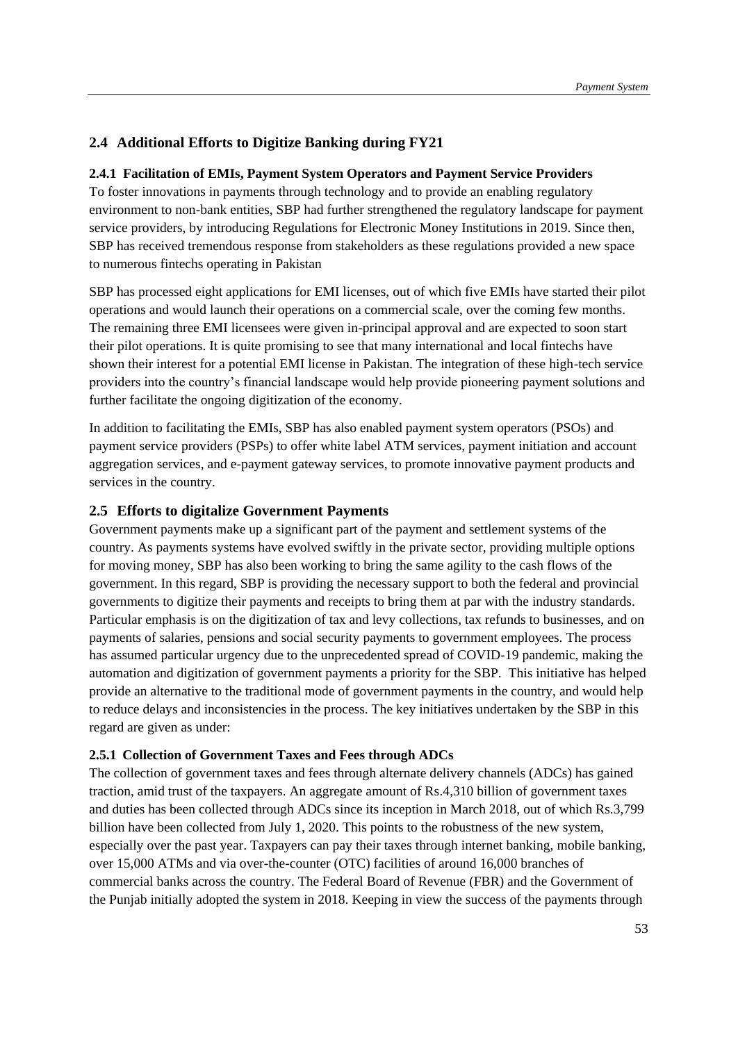# **2.4 Additional Efforts to Digitize Banking during FY21**

#### **2.4.1 Facilitation of EMIs, Payment System Operators and Payment Service Providers**

To foster innovations in payments through technology and to provide an enabling regulatory environment to non-bank entities, SBP had further strengthened the regulatory landscape for payment service providers, by introducing Regulations for Electronic Money Institutions in 2019. Since then, SBP has received tremendous response from stakeholders as these regulations provided a new space to numerous fintechs operating in Pakistan

SBP has processed eight applications for EMI licenses, out of which five EMIs have started their pilot operations and would launch their operations on a commercial scale, over the coming few months. The remaining three EMI licensees were given in-principal approval and are expected to soon start their pilot operations. It is quite promising to see that many international and local fintechs have shown their interest for a potential EMI license in Pakistan. The integration of these high-tech service providers into the country's financial landscape would help provide pioneering payment solutions and further facilitate the ongoing digitization of the economy.

In addition to facilitating the EMIs, SBP has also enabled payment system operators (PSOs) and payment service providers (PSPs) to offer white label ATM services, payment initiation and account aggregation services, and e-payment gateway services, to promote innovative payment products and services in the country.

#### **2.5 Efforts to digitalize Government Payments**

Government payments make up a significant part of the payment and settlement systems of the country. As payments systems have evolved swiftly in the private sector, providing multiple options for moving money, SBP has also been working to bring the same agility to the cash flows of the government. In this regard, SBP is providing the necessary support to both the federal and provincial governments to digitize their payments and receipts to bring them at par with the industry standards. Particular emphasis is on the digitization of tax and levy collections, tax refunds to businesses, and on payments of salaries, pensions and social security payments to government employees. The process has assumed particular urgency due to the unprecedented spread of COVID-19 pandemic, making the automation and digitization of government payments a priority for the SBP. This initiative has helped provide an alternative to the traditional mode of government payments in the country, and would help to reduce delays and inconsistencies in the process. The key initiatives undertaken by the SBP in this regard are given as under:

#### **2.5.1 Collection of Government Taxes and Fees through ADCs**

The collection of government taxes and fees through alternate delivery channels (ADCs) has gained traction, amid trust of the taxpayers. An aggregate amount of Rs.4,310 billion of government taxes and duties has been collected through ADCs since its inception in March 2018, out of which Rs.3,799 billion have been collected from July 1, 2020. This points to the robustness of the new system, especially over the past year. Taxpayers can pay their taxes through internet banking, mobile banking, over 15,000 ATMs and via over-the-counter (OTC) facilities of around 16,000 branches of commercial banks across the country. The Federal Board of Revenue (FBR) and the Government of the Punjab initially adopted the system in 2018. Keeping in view the success of the payments through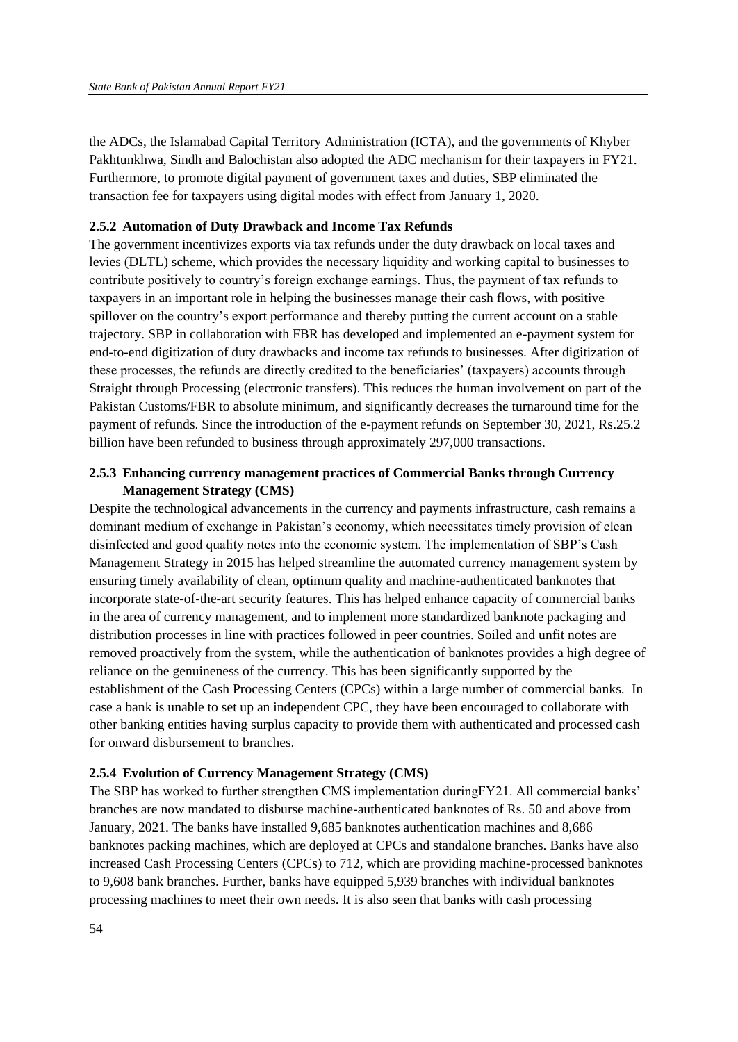the ADCs, the Islamabad Capital Territory Administration (ICTA), and the governments of Khyber Pakhtunkhwa, Sindh and Balochistan also adopted the ADC mechanism for their taxpayers in FY21. Furthermore, to promote digital payment of government taxes and duties, SBP eliminated the transaction fee for taxpayers using digital modes with effect from January 1, 2020.

#### **2.5.2 Automation of Duty Drawback and Income Tax Refunds**

The government incentivizes exports via tax refunds under the duty drawback on local taxes and levies (DLTL) scheme, which provides the necessary liquidity and working capital to businesses to contribute positively to country's foreign exchange earnings. Thus, the payment of tax refunds to taxpayers in an important role in helping the businesses manage their cash flows, with positive spillover on the country's export performance and thereby putting the current account on a stable trajectory. SBP in collaboration with FBR has developed and implemented an e-payment system for end-to-end digitization of duty drawbacks and income tax refunds to businesses. After digitization of these processes, the refunds are directly credited to the beneficiaries' (taxpayers) accounts through Straight through Processing (electronic transfers). This reduces the human involvement on part of the Pakistan Customs/FBR to absolute minimum, and significantly decreases the turnaround time for the payment of refunds. Since the introduction of the e-payment refunds on September 30, 2021, Rs.25.2 billion have been refunded to business through approximately 297,000 transactions.

## **2.5.3 Enhancing currency management practices of Commercial Banks through Currency Management Strategy (CMS)**

Despite the technological advancements in the currency and payments infrastructure, cash remains a dominant medium of exchange in Pakistan's economy, which necessitates timely provision of clean disinfected and good quality notes into the economic system. The implementation of SBP's Cash Management Strategy in 2015 has helped streamline the automated currency management system by ensuring timely availability of clean, optimum quality and machine-authenticated banknotes that incorporate state-of-the-art security features. This has helped enhance capacity of commercial banks in the area of currency management, and to implement more standardized banknote packaging and distribution processes in line with practices followed in peer countries. Soiled and unfit notes are removed proactively from the system, while the authentication of banknotes provides a high degree of reliance on the genuineness of the currency. This has been significantly supported by the establishment of the Cash Processing Centers (CPCs) within a large number of commercial banks. In case a bank is unable to set up an independent CPC, they have been encouraged to collaborate with other banking entities having surplus capacity to provide them with authenticated and processed cash for onward disbursement to branches.

#### **2.5.4 Evolution of Currency Management Strategy (CMS)**

The SBP has worked to further strengthen CMS implementation duringFY21. All commercial banks' branches are now mandated to disburse machine-authenticated banknotes of Rs. 50 and above from January, 2021. The banks have installed 9,685 banknotes authentication machines and 8,686 banknotes packing machines, which are deployed at CPCs and standalone branches. Banks have also increased Cash Processing Centers (CPCs) to 712, which are providing machine-processed banknotes to 9,608 bank branches. Further, banks have equipped 5,939 branches with individual banknotes processing machines to meet their own needs. It is also seen that banks with cash processing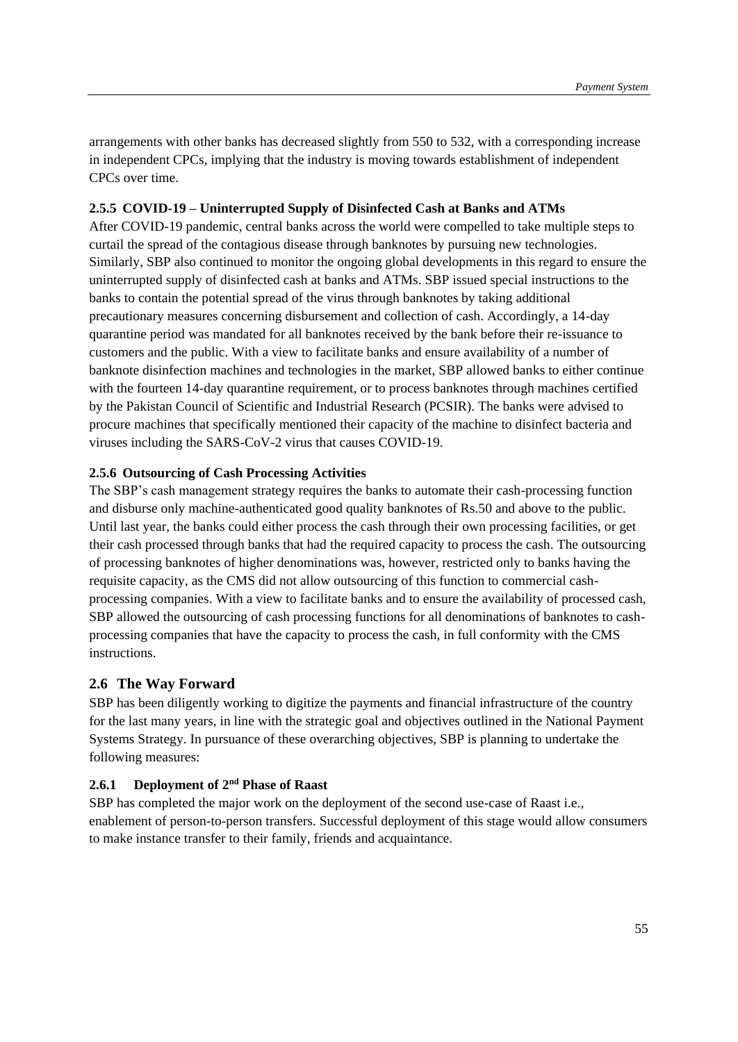arrangements with other banks has decreased slightly from 550 to 532, with a corresponding increase in independent CPCs, implying that the industry is moving towards establishment of independent CPCs over time.

## **2.5.5 COVID-19 – Uninterrupted Supply of Disinfected Cash at Banks and ATMs**

After COVID-19 pandemic, central banks across the world were compelled to take multiple steps to curtail the spread of the contagious disease through banknotes by pursuing new technologies. Similarly, SBP also continued to monitor the ongoing global developments in this regard to ensure the uninterrupted supply of disinfected cash at banks and ATMs. SBP issued special instructions to the banks to contain the potential spread of the virus through banknotes by taking additional precautionary measures concerning disbursement and collection of cash. Accordingly, a 14-day quarantine period was mandated for all banknotes received by the bank before their re-issuance to customers and the public. With a view to facilitate banks and ensure availability of a number of banknote disinfection machines and technologies in the market, SBP allowed banks to either continue with the fourteen 14-day quarantine requirement, or to process banknotes through machines certified by the Pakistan Council of Scientific and Industrial Research (PCSIR). The banks were advised to procure machines that specifically mentioned their capacity of the machine to disinfect bacteria and viruses including the SARS-CoV-2 virus that causes COVID-19.

#### **2.5.6 Outsourcing of Cash Processing Activities**

The SBP's cash management strategy requires the banks to automate their cash-processing function and disburse only machine-authenticated good quality banknotes of Rs.50 and above to the public. Until last year, the banks could either process the cash through their own processing facilities, or get their cash processed through banks that had the required capacity to process the cash. The outsourcing of processing banknotes of higher denominations was, however, restricted only to banks having the requisite capacity, as the CMS did not allow outsourcing of this function to commercial cashprocessing companies. With a view to facilitate banks and to ensure the availability of processed cash, SBP allowed the outsourcing of cash processing functions for all denominations of banknotes to cashprocessing companies that have the capacity to process the cash, in full conformity with the CMS instructions.

#### **2.6 The Way Forward**

SBP has been diligently working to digitize the payments and financial infrastructure of the country for the last many years, in line with the strategic goal and objectives outlined in the National Payment Systems Strategy. In pursuance of these overarching objectives, SBP is planning to undertake the following measures:

# **2.6.1 Deployment of 2nd Phase of Raast**

SBP has completed the major work on the deployment of the second use-case of Raast i.e., enablement of person-to-person transfers. Successful deployment of this stage would allow consumers to make instance transfer to their family, friends and acquaintance.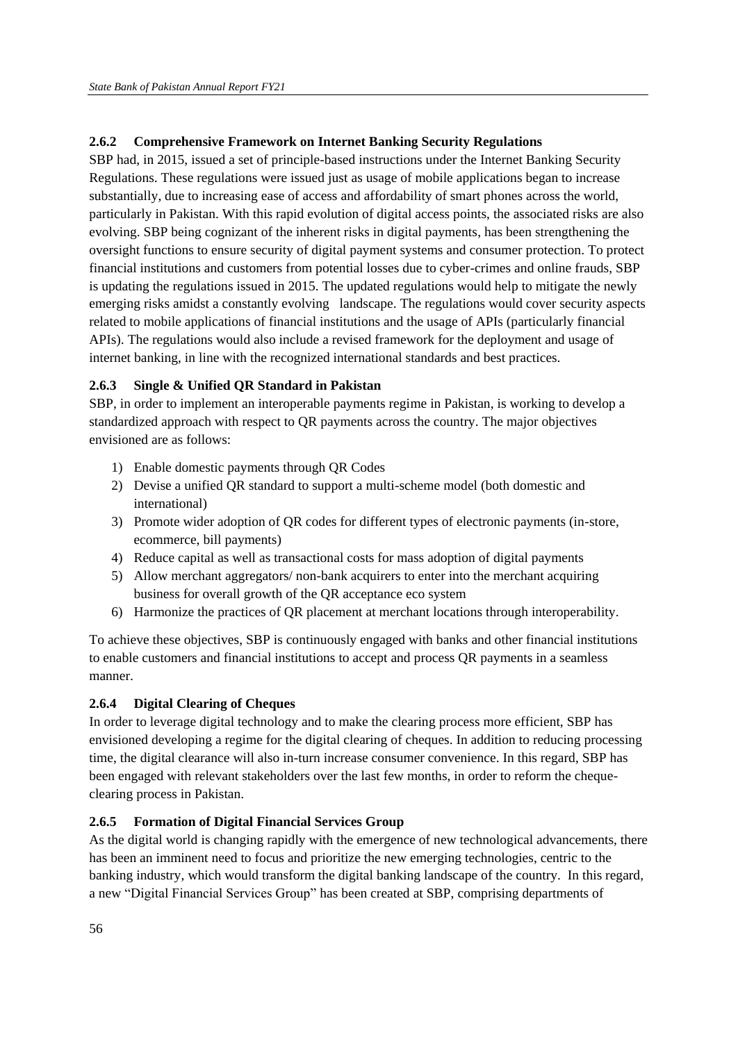# **2.6.2 Comprehensive Framework on Internet Banking Security Regulations**

SBP had, in 2015, issued a set of principle-based instructions under the Internet Banking Security Regulations. These regulations were issued just as usage of mobile applications began to increase substantially, due to increasing ease of access and affordability of smart phones across the world, particularly in Pakistan. With this rapid evolution of digital access points, the associated risks are also evolving. SBP being cognizant of the inherent risks in digital payments, has been strengthening the oversight functions to ensure security of digital payment systems and consumer protection. To protect financial institutions and customers from potential losses due to cyber-crimes and online frauds, SBP is updating the regulations issued in 2015. The updated regulations would help to mitigate the newly emerging risks amidst a constantly evolving landscape. The regulations would cover security aspects related to mobile applications of financial institutions and the usage of APIs (particularly financial APIs). The regulations would also include a revised framework for the deployment and usage of internet banking, in line with the recognized international standards and best practices.

# **2.6.3 Single & Unified QR Standard in Pakistan**

SBP, in order to implement an interoperable payments regime in Pakistan, is working to develop a standardized approach with respect to QR payments across the country. The major objectives envisioned are as follows:

- 1) Enable domestic payments through QR Codes
- 2) Devise a unified QR standard to support a multi-scheme model (both domestic and international)
- 3) Promote wider adoption of QR codes for different types of electronic payments (in-store, ecommerce, bill payments)
- 4) Reduce capital as well as transactional costs for mass adoption of digital payments
- 5) Allow merchant aggregators/ non-bank acquirers to enter into the merchant acquiring business for overall growth of the QR acceptance eco system
- 6) Harmonize the practices of QR placement at merchant locations through interoperability.

To achieve these objectives, SBP is continuously engaged with banks and other financial institutions to enable customers and financial institutions to accept and process QR payments in a seamless manner.

# **2.6.4 Digital Clearing of Cheques**

In order to leverage digital technology and to make the clearing process more efficient, SBP has envisioned developing a regime for the digital clearing of cheques. In addition to reducing processing time, the digital clearance will also in-turn increase consumer convenience. In this regard, SBP has been engaged with relevant stakeholders over the last few months, in order to reform the chequeclearing process in Pakistan.

# **2.6.5 Formation of Digital Financial Services Group**

As the digital world is changing rapidly with the emergence of new technological advancements, there has been an imminent need to focus and prioritize the new emerging technologies, centric to the banking industry, which would transform the digital banking landscape of the country. In this regard, a new "Digital Financial Services Group" has been created at SBP, comprising departments of